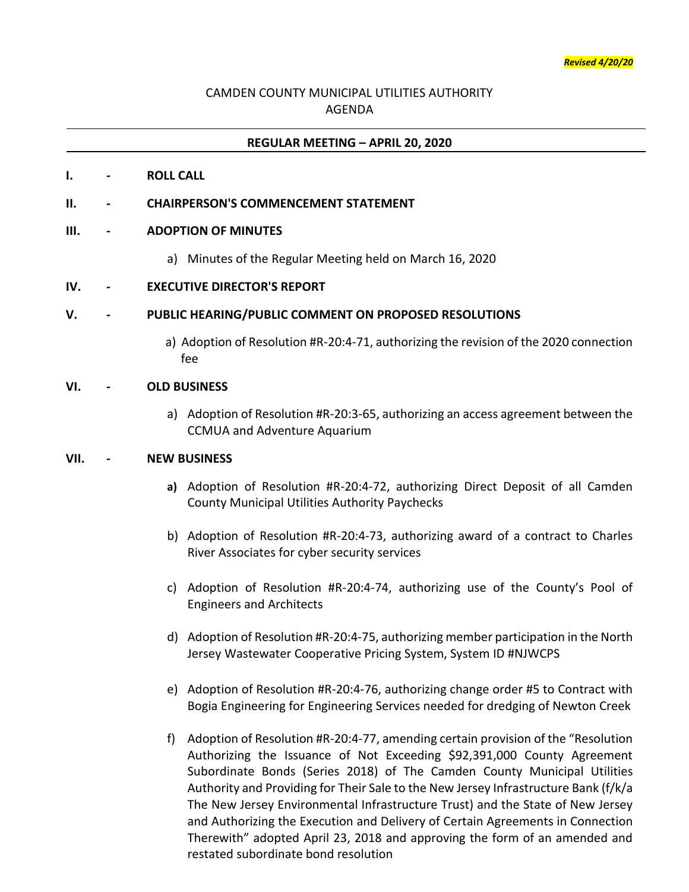# CAMDEN COUNTY MUNICIPAL UTILITIES AUTHORITY AGENDA

## **REGULAR MEETING – APRIL 20, 2020**

#### **I. - ROLL CALL**

### **II. - CHAIRPERSON'S COMMENCEMENT STATEMENT**

#### **III. - ADOPTION OF MINUTES**

a) Minutes of the Regular Meeting held on March 16, 2020

### **IV. - EXECUTIVE DIRECTOR'S REPORT**

### **V. - PUBLIC HEARING/PUBLIC COMMENT ON PROPOSED RESOLUTIONS**

a) Adoption of Resolution #R-20:4-71, authorizing the revision of the 2020 connection fee

#### **VI. - OLD BUSINESS**

a) Adoption of Resolution #R-20:3-65, authorizing an access agreement between the CCMUA and Adventure Aquarium

### **VII. - NEW BUSINESS**

- **a)** Adoption of Resolution #R-20:4-72, authorizing Direct Deposit of all Camden County Municipal Utilities Authority Paychecks
- b) Adoption of Resolution #R-20:4-73, authorizing award of a contract to Charles River Associates for cyber security services
- c) Adoption of Resolution #R-20:4-74, authorizing use of the County's Pool of Engineers and Architects
- d) Adoption of Resolution #R-20:4-75, authorizing member participation in the North Jersey Wastewater Cooperative Pricing System, System ID #NJWCPS
- e) Adoption of Resolution #R-20:4-76, authorizing change order #5 to Contract with Bogia Engineering for Engineering Services needed for dredging of Newton Creek
- f) Adoption of Resolution #R-20:4-77, amending certain provision of the "Resolution Authorizing the Issuance of Not Exceeding \$92,391,000 County Agreement Subordinate Bonds (Series 2018) of The Camden County Municipal Utilities Authority and Providing for Their Sale to the New Jersey Infrastructure Bank (f/k/a The New Jersey Environmental Infrastructure Trust) and the State of New Jersey and Authorizing the Execution and Delivery of Certain Agreements in Connection Therewith" adopted April 23, 2018 and approving the form of an amended and restated subordinate bond resolution